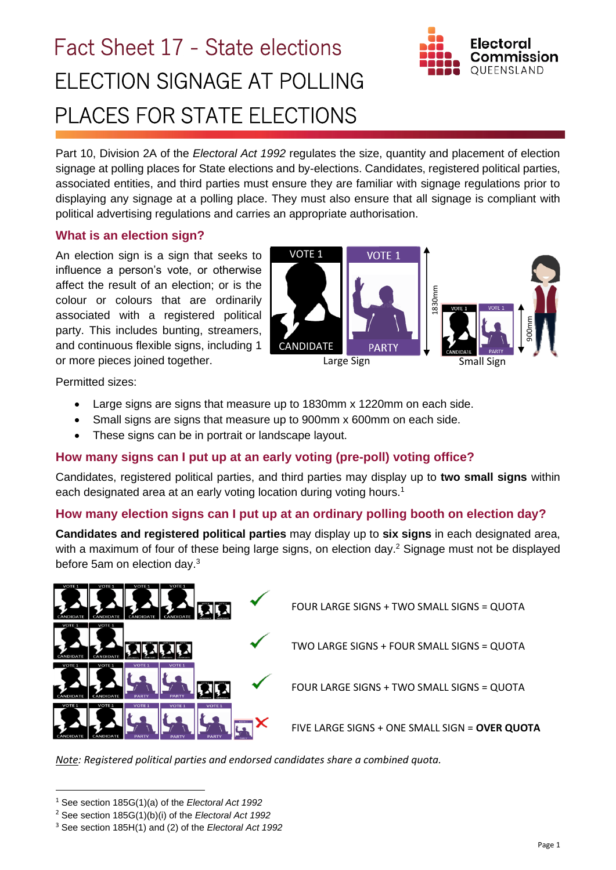# Fact Sheet 17 - State elections ELECTION SIGNAGE AT POLLING PLACES FOR STATE ELECTIONS



Part 10, Division 2A of the *Electoral Act 1992* regulates the size, quantity and placement of election signage at polling places for State elections and by-elections. Candidates, registered political parties, associated entities, and third parties must ensure they are familiar with signage regulations prior to displaying any signage at a polling place. They must also ensure that all signage is compliant with political advertising regulations and carries an appropriate authorisation.

# **What is an election sign?**

An election sign is a sign that seeks to influence a person's vote, or otherwise affect the result of an election; or is the colour or colours that are ordinarily associated with a registered political party. This includes bunting, streamers, and continuous flexible signs, including 1 or more pieces joined together.



Permitted sizes:

- Large signs are signs that measure up to 1830mm x 1220mm on each side.
- Small signs are signs that measure up to 900mm x 600mm on each side.
- These signs can be in portrait or landscape layout.

# **How many signs can I put up at an early voting (pre-poll) voting office?**

Candidates, registered political parties, and third parties may display up to **two small signs** within each designated area at an early voting location during voting hours.<sup>1</sup>

# **How many election signs can I put up at an ordinary polling booth on election day?**

**Candidates and registered political parties** may display up to **six signs** in each designated area, with a maximum of four of these being large signs, on election day.<sup>2</sup> Signage must not be displayed before 5am on election day.<sup>3</sup>



*Note: Registered political parties and endorsed candidates share a combined quota.*

<sup>1</sup> See section 185G(1)(a) of the *Electoral Act 1992*

<sup>2</sup> See section 185G(1)(b)(i) of the *Electoral Act 1992*

<sup>3</sup> See section 185H(1) and (2) of the *Electoral Act 1992*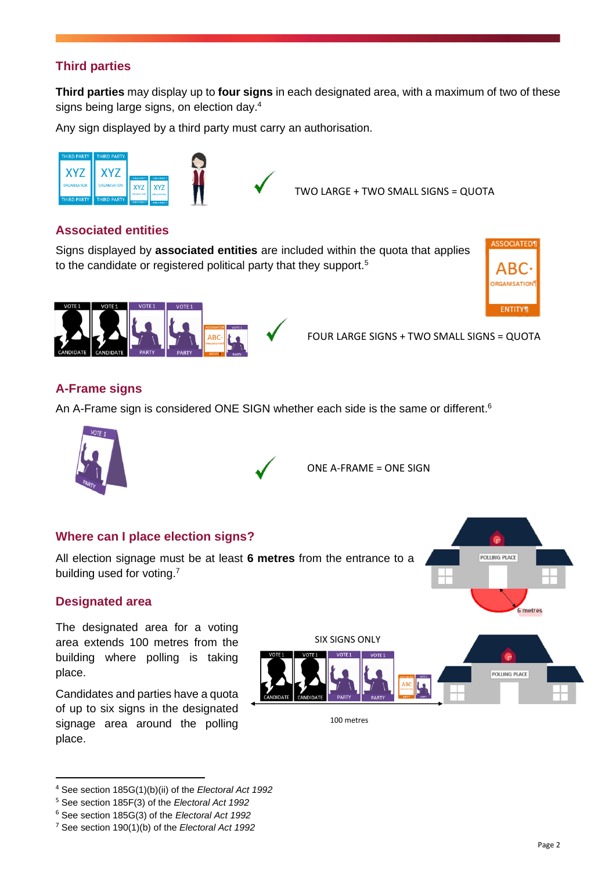# **Third parties**

**Third parties** may display up to **four signs** in each designated area, with a maximum of two of these signs being large signs, on election day. 4

Any sign displayed by a third party must carry an authorisation.



TWO LARGE + TWO SMALL SIGNS = QUOTA

# **Associated entities**

Signs displayed by **associated entities** are included within the quota that applies to the candidate or registered political party that they support.<sup>5</sup>



POLLING PLACE



FOUR LARGE SIGNS + TWO SMALL SIGNS = QUOTA

# **A-Frame signs**

An A-Frame sign is considered ONE SIGN whether each side is the same or different.<sup>6</sup>





ONE A-FRAME = ONE SIGN

#### **Where can I place election signs?**

All election signage must be at least **6 metres** from the entrance to a building used for voting.<sup>7</sup>

#### **Designated area**

The designated area for a voting area extends 100 metres from the building where polling is taking place.

Candidates and parties have a quota of up to six signs in the designated signage area around the polling place.



100 metres

<sup>4</sup> See section 185G(1)(b)(ii) of the *Electoral Act 1992*

<sup>5</sup> See section 185F(3) of the *Electoral Act 1992*

<sup>6</sup> See section 185G(3) of the *Electoral Act 1992*

<sup>7</sup> See section 190(1)(b) of the *Electoral Act 1992*